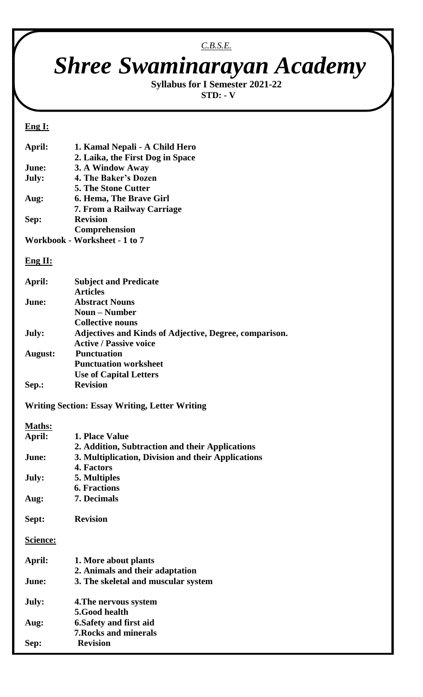### *C.B.S.E.*

# *Shree Swaminarayan Academy*

**Syllabus for I Semester 2021-22 STD: - V**

#### **Eng I:**

| April: | 1. Kamal Nepali - A Child Hero   |
|--------|----------------------------------|
|        | 2. Laika, the First Dog in Space |
| June:  | 3. A Window Away                 |
| July:  | 4. The Baker's Dozen             |
|        | <b>5. The Stone Cutter</b>       |
| Aug:   | <b>6. Hema, The Brave Girl</b>   |
|        | 7. From a Railway Carriage       |
| Sep:   | <b>Revision</b>                  |
|        | Comprehension                    |
|        | Workbook - Worksheet - 1 to 7    |

#### **Eng II:**

| April:          | <b>Subject and Predicate</b>                                  |
|-----------------|---------------------------------------------------------------|
|                 | <b>Articles</b>                                               |
| June:           | <b>Abstract Nouns</b>                                         |
|                 | <b>Noun – Number</b>                                          |
|                 | <b>Collective nouns</b>                                       |
| July:           | <b>Adjectives and Kinds of Adjective, Degree, comparison.</b> |
|                 | <b>Active / Passive voice</b>                                 |
| August:         | <b>Punctuation</b>                                            |
|                 | <b>Punctuation worksheet</b>                                  |
|                 | <b>Use of Capital Letters</b>                                 |
| Sep.:           | <b>Revision</b>                                               |
|                 | <b>Writing Section: Essay Writing, Letter Writing</b>         |
| Maths:          |                                                               |
| April:          | 1. Place Value                                                |
|                 | 2. Addition, Subtraction and their Applications               |
| June:           | 3. Multiplication, Division and their Applications            |
|                 | 4. Factors                                                    |
| July:           |                                                               |
|                 | 5. Multiples<br><b>6. Fractions</b>                           |
|                 |                                                               |
| Aug:            | 7. Decimals                                                   |
| Sept:           | <b>Revision</b>                                               |
| <u>Science:</u> |                                                               |
| April:          | 1. More about plants                                          |
|                 | 2. Animals and their adaptation                               |
| June:           | 3. The skeletal and muscular system                           |
| July:           | 4. The nervous system                                         |
|                 | 5.Good health                                                 |
|                 | <b>6. Safety and first aid</b>                                |
| Aug:            | <b>7. Rocks and minerals</b>                                  |
|                 |                                                               |
| Sep:            | <b>Revision</b>                                               |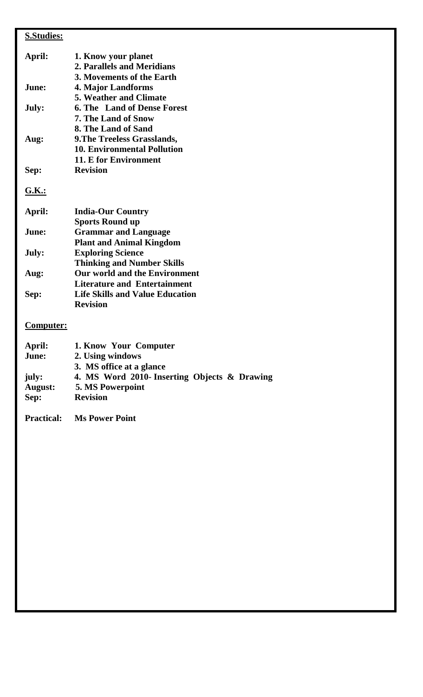## **S.Studies:**

| April:       | 1. Know your planet                          |
|--------------|----------------------------------------------|
|              | 2. Parallels and Meridians                   |
|              | 3. Movements of the Earth                    |
| June:        | <b>4. Major Landforms</b>                    |
|              | <b>5. Weather and Climate</b>                |
| July:        | <b>6. The Land of Dense Forest</b>           |
|              | <b>7. The Land of Snow</b>                   |
|              | 8. The Land of Sand                          |
| Aug:         | 9. The Treeless Grasslands,                  |
|              | <b>10. Environmental Pollution</b>           |
|              | 11. E for Environment                        |
| Sep:         | <b>Revision</b>                              |
|              |                                              |
| <b>G.K.:</b> |                                              |
| April:       | <b>India-Our Country</b>                     |
|              | <b>Sports Round up</b>                       |
| June:        | <b>Grammar and Language</b>                  |
|              | <b>Plant and Animal Kingdom</b>              |
| July:        | <b>Exploring Science</b>                     |
|              | <b>Thinking and Number Skills</b>            |
| Aug:         | Our world and the Environment                |
|              | <b>Literature and Entertainment</b>          |
| Sep:         | <b>Life Skills and Value Education</b>       |
|              | <b>Revision</b>                              |
|              |                                              |
| Computer:    |                                              |
| April:       | 1. Know Your Computer                        |
| June:        | 2. Using windows                             |
|              | 3. MS office at a glance                     |
| july:        | 4. MS Word 2010- Inserting Objects & Drawing |
| August:      | 5. MS Powerpoint                             |

**Sep: Revision**

**Practical: Ms Power Point**